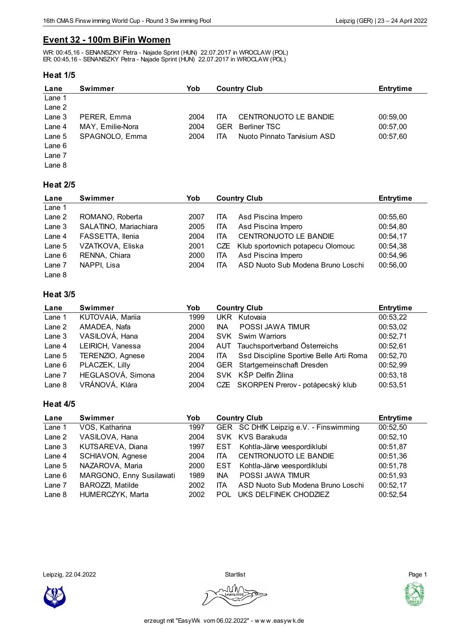# **Event 32 - 100m BiFin Women**

WR: 00:45,16 - SENANSZKY Petra - Najade Sprint (HUN) 22.07.2017 in WROCLAW (POL) ER: 00:45,16 - SENANSZKY Petra - Najade Sprint (HUN) 22.07.2017 in WROCLAW (POL)

### **Heat 1/5**

| Lane     | <b>Swimmer</b>   | Yob  |            | <b>Country Club</b>          | <b>Entrytime</b> |
|----------|------------------|------|------------|------------------------------|------------------|
| Lane 1   |                  |      |            |                              |                  |
| Lane 2   |                  |      |            |                              |                  |
| Lane $3$ | PERER, Emma      | 2004 | ITA        | <b>CENTRONUOTO LE BANDIE</b> | 00:59,00         |
| Lane 4   | MAY, Emilie-Nora | 2004 | <b>GER</b> | <b>Berliner TSC</b>          | 00:57,00         |
| Lane 5   | SPAGNOLO, Emma   | 2004 | ITA        | Nuoto Pinnato Tarvisium ASD  | 00:57,60         |
| Lane 6   |                  |      |            |                              |                  |
| Lane 7   |                  |      |            |                              |                  |
| Lane 8   |                  |      |            |                              |                  |

### **Heat 2/5**

| Lane   | <b>Swimmer</b>        | Yob  | <b>Country Club</b> |                                       | <b>Entrytime</b> |
|--------|-----------------------|------|---------------------|---------------------------------------|------------------|
| Lane 1 |                       |      |                     |                                       |                  |
| Lane 2 | ROMANO, Roberta       | 2007 | ita                 | Asd Piscina Impero                    | 00:55,60         |
| Lane 3 | SALATINO, Mariachiara | 2005 | ITA                 | Asd Piscina Impero                    | 00:54,80         |
| Lane 4 | FASSETTA, Ilenia      | 2004 | ITA                 | CENTRONUOTO LE BANDIE                 | 00:54,17         |
| Lane 5 | VZATKOVA, Eliska      | 2001 |                     | CZE Klub sportovnich potapecu Olomouc | 00:54,38         |
| Lane 6 | RENNA, Chiara         | 2000 | ITA                 | Asd Piscina Impero                    | 00:54,96         |
| Lane 7 | NAPPI, Lisa           | 2004 | ITA                 | ASD Nuoto Sub Modena Bruno Loschi     | 00:56,00         |
| Lane 8 |                       |      |                     |                                       |                  |

## **Heat 3/5**

| Lane   | Swimmer                 | Yob  | <b>Country Club</b> |                                         | <b>Entrytime</b> |
|--------|-------------------------|------|---------------------|-----------------------------------------|------------------|
| Lane 1 | KUTOVAIA, Mariia        | 1999 | <b>UKR</b>          | Kutovaia                                | 00:53,22         |
| Lane 2 | AMADEA, Nafa            | 2000 | <b>INA</b>          | POSSI JAWA TIMUR                        | 00:53,02         |
| Lane 3 | VASILOVÁ, Hana          | 2004 |                     | SVK Swim Warriors                       | 00:52,71         |
| Lane 4 | LEIRICH, Vanessa        | 2004 |                     | AUT Tauchsportverband Österreichs       | 00:52,61         |
| Lane 5 | <b>TERENZIO, Agnese</b> | 2004 | ITA.                | Ssd Discipline Sportive Belle Arti Roma | 00:52,70         |
| Lane 6 | PLACZEK, Lilly          | 2004 |                     | GER Startgemeinschaft Dresden           | 00:52,99         |
| Lane 7 | HEGLASOVÁ, Simona       | 2004 |                     | SVK KŠP Delfín Žilina                   | 00:53,18         |
| Lane 8 | VRÁNOVÁ, Klára          | 2004 |                     | CZE SKORPEN Prerov - potápecský klub    | 00:53,51         |

### **Heat 4/5**

| Lane     | Swimmer                  | Yob  | <b>Country Club</b> |                                        | <b>Entrytime</b> |
|----------|--------------------------|------|---------------------|----------------------------------------|------------------|
| Lane 1   | VOS, Katharina           | 1997 |                     | GER SC DHfK Leipzig e.V. - Finswimming | 00:52,50         |
| Lane 2   | VASILOVA, Hana           | 2004 |                     | SVK KVS Barakuda                       | 00:52,10         |
| Lane 3   | KUTSAREVA, Diana         | 1997 | EST                 | Kohtla-Järve veespordiklubi            | 00:51,87         |
| Lane 4   | SCHIAVON, Agnese         | 2004 | <b>ITA</b>          | CENTRONUOTO LE BANDIE                  | 00:51,36         |
| Lane 5   | NAZAROVA, Maria          | 2000 | EST                 | Kohtla-Järve veespordiklubi            | 00:51,78         |
| Lane $6$ | MARGONO, Enny Susilawati | 1989 | <b>INA</b>          | <b>POSSI JAWA TIMUR</b>                | 00:51,93         |
| Lane 7   | <b>BAROZZI, Matilde</b>  | 2002 | <b>ITA</b>          | ASD Nuoto Sub Modena Bruno Loschi      | 00:52,17         |
| Lane $8$ | HUMERCZYK, Marta         | 2002 | <b>POL</b>          | UKS DELFINEK CHODZIEZ                  | 00:52,54         |

Leipzig, 22.04.2022 Startlist Page 1